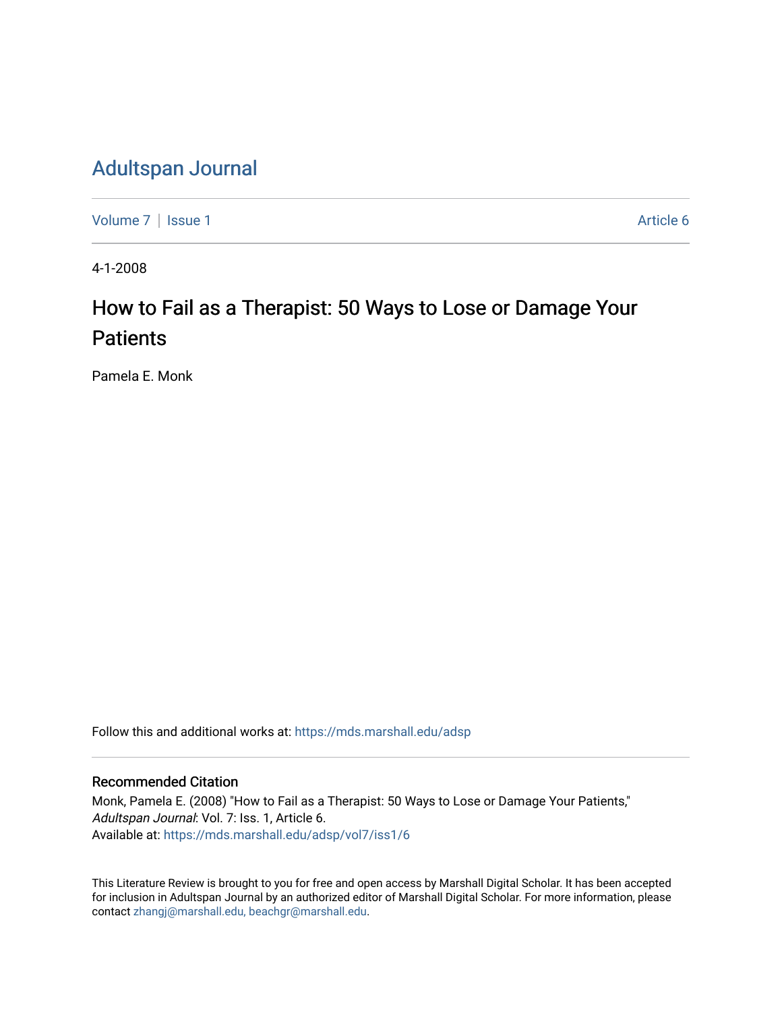### [Adultspan Journal](https://mds.marshall.edu/adsp)

[Volume 7](https://mds.marshall.edu/adsp/vol7) | [Issue 1](https://mds.marshall.edu/adsp/vol7/iss1) Article 6

4-1-2008

## How to Fail as a Therapist: 50 Ways to Lose or Damage Your **Patients**

Pamela E. Monk

Follow this and additional works at: [https://mds.marshall.edu/adsp](https://mds.marshall.edu/adsp?utm_source=mds.marshall.edu%2Fadsp%2Fvol7%2Fiss1%2F6&utm_medium=PDF&utm_campaign=PDFCoverPages) 

#### Recommended Citation

Monk, Pamela E. (2008) "How to Fail as a Therapist: 50 Ways to Lose or Damage Your Patients," Adultspan Journal: Vol. 7: Iss. 1, Article 6. Available at: [https://mds.marshall.edu/adsp/vol7/iss1/6](https://mds.marshall.edu/adsp/vol7/iss1/6?utm_source=mds.marshall.edu%2Fadsp%2Fvol7%2Fiss1%2F6&utm_medium=PDF&utm_campaign=PDFCoverPages)

This Literature Review is brought to you for free and open access by Marshall Digital Scholar. It has been accepted for inclusion in Adultspan Journal by an authorized editor of Marshall Digital Scholar. For more information, please contact [zhangj@marshall.edu, beachgr@marshall.edu](mailto:zhangj@marshall.edu,%20beachgr@marshall.edu).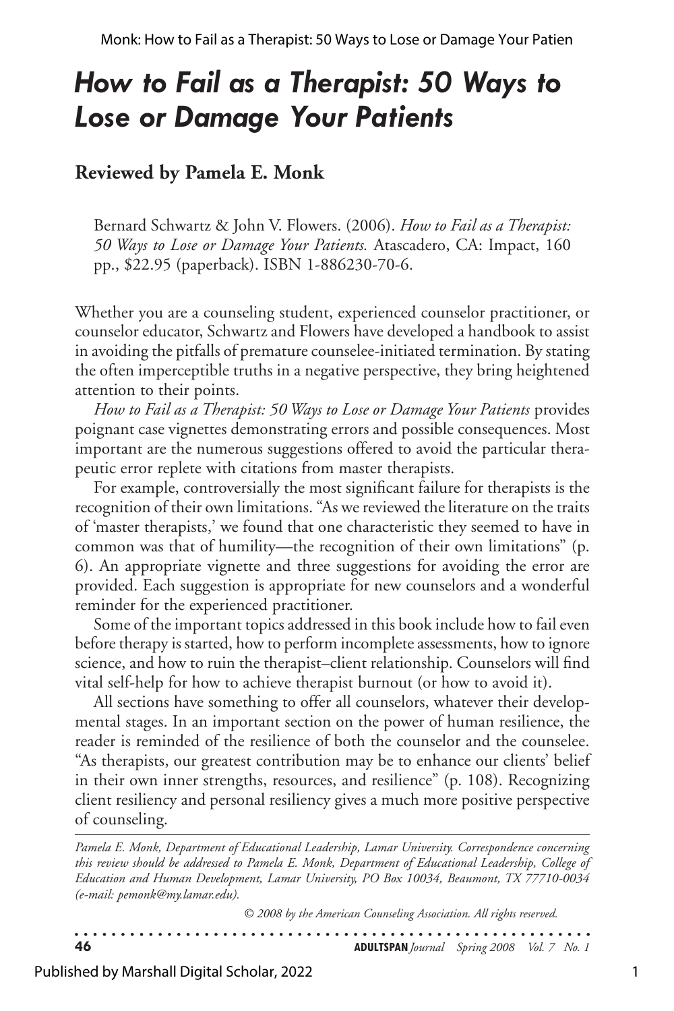# *How to Fail as a Therapist: 50 Ways to Lose or Damage Your Patients*

### **Reviewed by Pamela E. Monk**

Bernard Schwartz & John V. Flowers. (2006). *How to Fail as a Therapist: 50 Ways to Lose or Damage Your Patients.* Atascadero, CA: Impact, 160 pp., \$22.95 (paperback). ISBN 1-886230-70-6.

Whether you are a counseling student, experienced counselor practitioner, or counselor educator, Schwartz and Flowers have developed a handbook to assist in avoiding the pitfalls of premature counselee-initiated termination. By stating the often imperceptible truths in a negative perspective, they bring heightened attention to their points.

*How to Fail as a Therapist: 50 Ways to Lose or Damage Your Patients* provides poignant case vignettes demonstrating errors and possible consequences. Most important are the numerous suggestions offered to avoid the particular therapeutic error replete with citations from master therapists.

For example, controversially the most significant failure for therapists is the recognition of their own limitations. "As we reviewed the literature on the traits of 'master therapists,' we found that one characteristic they seemed to have in common was that of humility—the recognition of their own limitations" (p. 6). An appropriate vignette and three suggestions for avoiding the error are provided. Each suggestion is appropriate for new counselors and a wonderful reminder for the experienced practitioner.

Some of the important topics addressed in this book include how to fail even before therapy is started, how to perform incomplete assessments, how to ignore science, and how to ruin the therapist–client relationship. Counselors will find vital self-help for how to achieve therapist burnout (or how to avoid it).

All sections have something to offer all counselors, whatever their developmental stages. In an important section on the power of human resilience, the reader is reminded of the resilience of both the counselor and the counselee. "As therapists, our greatest contribution may be to enhance our clients' belief in their own inner strengths, resources, and resilience" (p. 108). Recognizing client resiliency and personal resiliency gives a much more positive perspective of counseling.

*Pamela E. Monk, Department of Educational Leadership, Lamar University. Correspondence concerning this review should be addressed to Pamela E. Monk, Department of Educational Leadership, College of Education and Human Development, Lamar University, PO Box 10034, Beaumont, TX 77710-0034 (e-mail: pemonk@my.lamar.edu).*

*© 2008 by the American Counseling Association. All rights reserved.*

. . . . . . . . . . . . . **46 ADULTSPAN***Journal Spring 2008 Vol. 7 No. 1*

#### Published by Marshall Digital Scholar, 2022